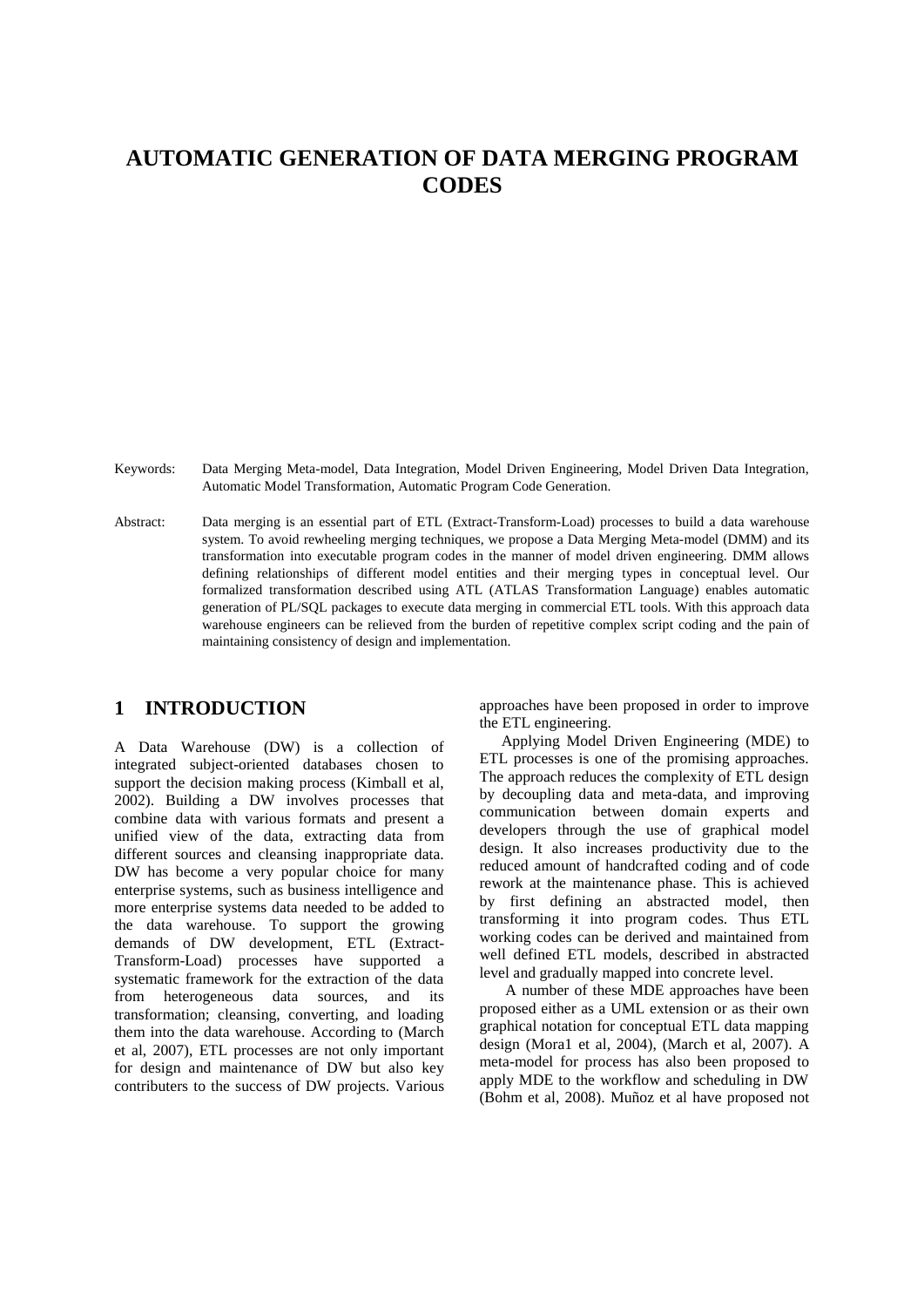# **AUTOMATIC GENERATION OF DATA MERGING PROGRAM CODES**

Keywords: Data Merging Meta-model, Data Integration, Model Driven Engineering, Model Driven Data Integration, Automatic Model Transformation, Automatic Program Code Generation.

Abstract: Data merging is an essential part of ETL (Extract-Transform-Load) processes to build a data warehouse system. To avoid rewheeling merging techniques, we propose a Data Merging Meta-model (DMM) and its transformation into executable program codes in the manner of model driven engineering. DMM allows defining relationships of different model entities and their merging types in conceptual level. Our formalized transformation described using ATL (ATLAS Transformation Language) enables automatic generation of PL/SQL packages to execute data merging in commercial ETL tools. With this approach data warehouse engineers can be relieved from the burden of repetitive complex script coding and the pain of maintaining consistency of design and implementation.

## **1 INTRODUCTION**

A Data Warehouse (DW) is a collection of integrated subject-oriented databases chosen to support the decision making process (Kimball et al, 2002). Building a DW involves processes that combine data with various formats and present a unified view of the data, extracting data from different sources and cleansing inappropriate data. DW has become a very popular choice for many enterprise systems, such as business intelligence and more enterprise systems data needed to be added to the data warehouse. To support the growing demands of DW development, ETL (Extract-Transform-Load) processes have supported a systematic framework for the extraction of the data from heterogeneous data sources, and its transformation; cleansing, converting, and loading them into the data warehouse. According to (March et al, 2007), ETL processes are not only important for design and maintenance of DW but also key contributers to the success of DW projects. Various

approaches have been proposed in order to improve the ETL engineering.

Applying Model Driven Engineering (MDE) to ETL processes is one of the promising approaches. The approach reduces the complexity of ETL design by decoupling data and meta-data, and improving communication between domain experts and developers through the use of graphical model design. It also increases productivity due to the reduced amount of handcrafted coding and of code rework at the maintenance phase. This is achieved by first defining an abstracted model, then transforming it into program codes. Thus ETL working codes can be derived and maintained from well defined ETL models, described in abstracted level and gradually mapped into concrete level.

 A number of these MDE approaches have been proposed either as a UML extension or as their own graphical notation for conceptual ETL data mapping design (Mora1 et al, 2004), (March et al, 2007). A meta-model for process has also been proposed to apply MDE to the workflow and scheduling in DW (Bohm et al, 2008). Muñoz et al have proposed not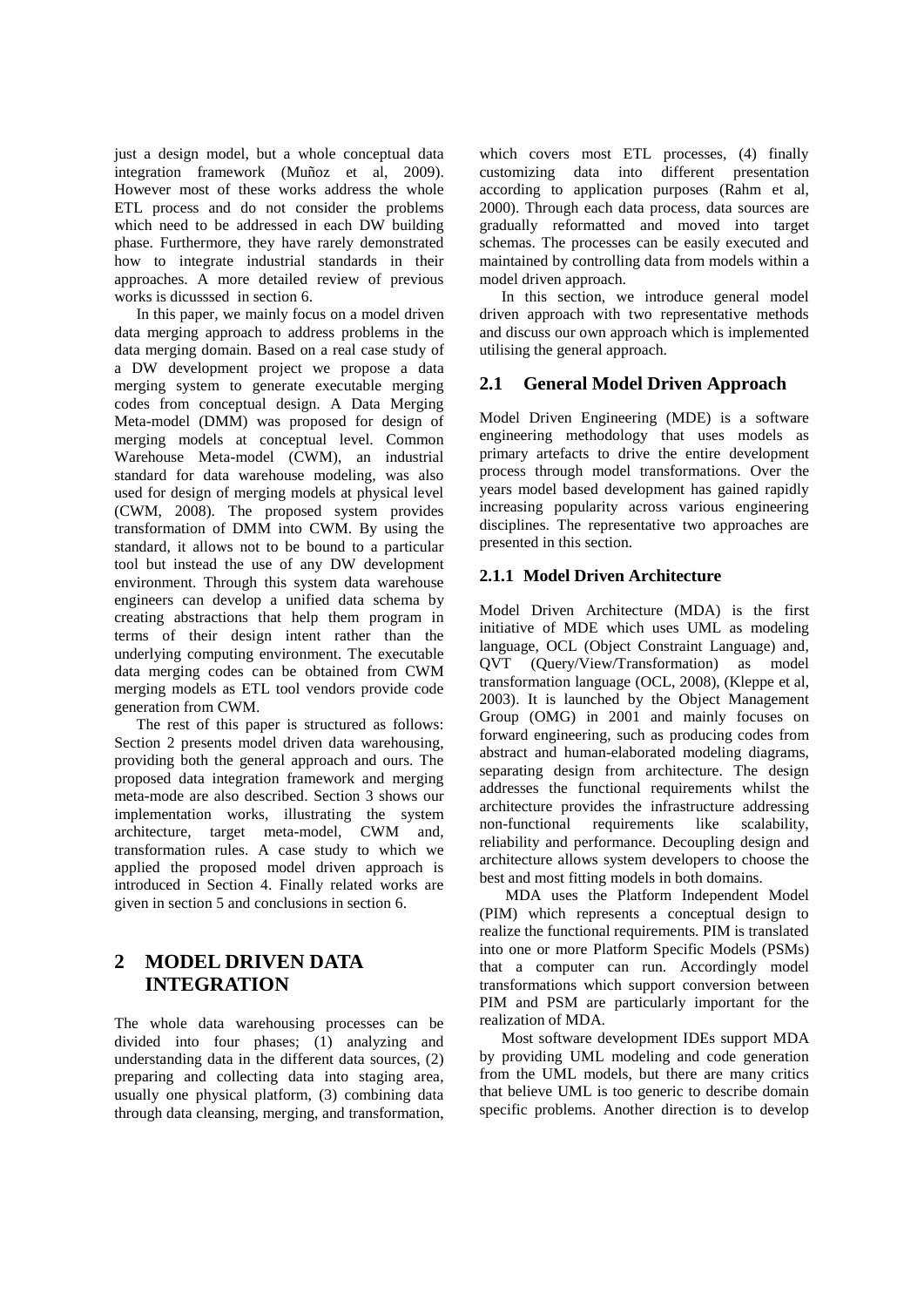just a design model, but a whole conceptual data integration framework (Muñoz et al, 2009). However most of these works address the whole ETL process and do not consider the problems which need to be addressed in each DW building phase. Furthermore, they have rarely demonstrated how to integrate industrial standards in their approaches. A more detailed review of previous works is dicusssed in section 6.

In this paper, we mainly focus on a model driven data merging approach to address problems in the data merging domain. Based on a real case study of a DW development project we propose a data merging system to generate executable merging codes from conceptual design. A Data Merging Meta-model (DMM) was proposed for design of merging models at conceptual level. Common Warehouse Meta-model (CWM), an industrial standard for data warehouse modeling, was also used for design of merging models at physical level (CWM, 2008). The proposed system provides transformation of DMM into CWM. By using the standard, it allows not to be bound to a particular tool but instead the use of any DW development environment. Through this system data warehouse engineers can develop a unified data schema by creating abstractions that help them program in terms of their design intent rather than the underlying computing environment. The executable data merging codes can be obtained from CWM merging models as ETL tool vendors provide code generation from CWM.

The rest of this paper is structured as follows: Section 2 presents model driven data warehousing, providing both the general approach and ours. The proposed data integration framework and merging meta-mode are also described. Section 3 shows our implementation works, illustrating the system architecture, target meta-model, CWM and, transformation rules. A case study to which we applied the proposed model driven approach is introduced in Section 4. Finally related works are given in section 5 and conclusions in section 6.

## **2 MODEL DRIVEN DATA INTEGRATION**

The whole data warehousing processes can be divided into four phases; (1) analyzing and understanding data in the different data sources, (2) preparing and collecting data into staging area, usually one physical platform, (3) combining data through data cleansing, merging, and transformation,

which covers most ETL processes, (4) finally customizing data into different presentation according to application purposes (Rahm et al, 2000). Through each data process, data sources are gradually reformatted and moved into target schemas. The processes can be easily executed and maintained by controlling data from models within a model driven approach.

In this section, we introduce general model driven approach with two representative methods and discuss our own approach which is implemented utilising the general approach.

#### **2.1 General Model Driven Approach**

Model Driven Engineering (MDE) is a software engineering methodology that uses models as primary artefacts to drive the entire development process through model transformations. Over the years model based development has gained rapidly increasing popularity across various engineering disciplines. The representative two approaches are presented in this section.

#### **2.1.1 Model Driven Architecture**

Model Driven Architecture (MDA) is the first initiative of MDE which uses UML as modeling language, OCL (Object Constraint Language) and, QVT (Query/View/Transformation) as model transformation language (OCL, 2008), (Kleppe et al, 2003). It is launched by the Object Management Group (OMG) in 2001 and mainly focuses on forward engineering, such as producing codes from abstract and human-elaborated modeling diagrams, separating design from architecture. The design addresses the functional requirements whilst the architecture provides the infrastructure addressing non-functional requirements like scalability, reliability and performance. Decoupling design and architecture allows system developers to choose the best and most fitting models in both domains.

MDA uses the Platform Independent Model (PIM) which represents a conceptual design to realize the functional requirements. PIM is translated into one or more Platform Specific Models (PSMs) that a computer can run. Accordingly model transformations which support conversion between PIM and PSM are particularly important for the realization of MDA.

Most software development IDEs support MDA by providing UML modeling and code generation from the UML models, but there are many critics that believe UML is too generic to describe domain specific problems. Another direction is to develop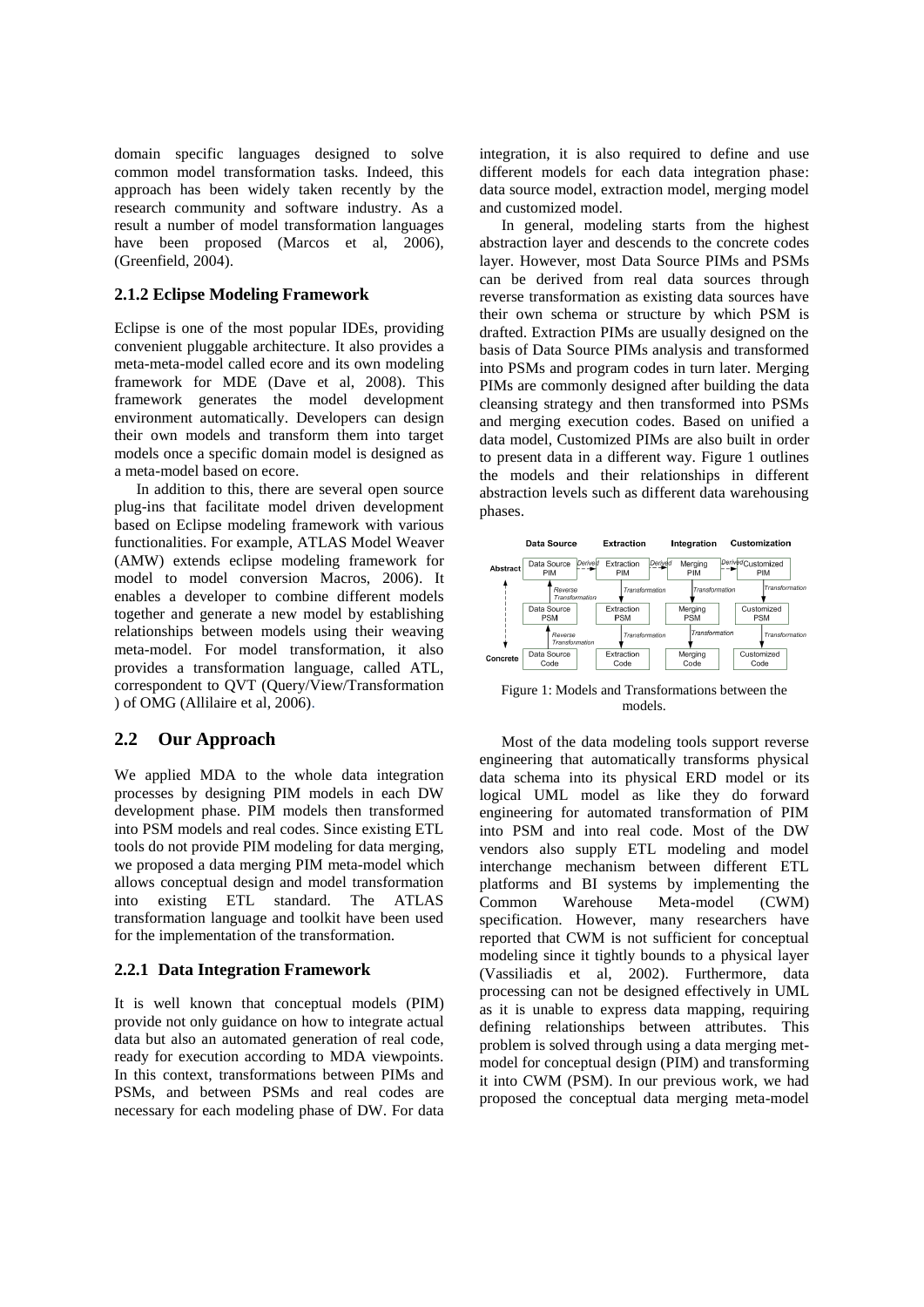domain specific languages designed to solve common model transformation tasks. Indeed, this approach has been widely taken recently by the research community and software industry. As a result a number of model transformation languages have been proposed (Marcos et al, 2006), (Greenfield, 2004).

#### **2.1.2 Eclipse Modeling Framework**

Eclipse is one of the most popular IDEs, providing convenient pluggable architecture. It also provides a meta-meta-model called ecore and its own modeling framework for MDE (Dave et al, 2008). This framework generates the model development environment automatically. Developers can design their own models and transform them into target models once a specific domain model is designed as a meta-model based on ecore.

In addition to this, there are several open source plug-ins that facilitate model driven development based on Eclipse modeling framework with various functionalities. For example, ATLAS Model Weaver (AMW) extends eclipse modeling framework for model to model conversion Macros, 2006). It enables a developer to combine different models together and generate a new model by establishing relationships between models using their weaving meta-model. For model transformation, it also provides a transformation language, called ATL, correspondent to QVT (Query/View/Transformation ) of OMG (Allilaire et al, 2006).

### **2.2 Our Approach**

We applied MDA to the whole data integration processes by designing PIM models in each DW development phase. PIM models then transformed into PSM models and real codes. Since existing ETL tools do not provide PIM modeling for data merging, we proposed a data merging PIM meta-model which allows conceptual design and model transformation into existing ETL standard. The ATLAS transformation language and toolkit have been used for the implementation of the transformation.

#### **2.2.1 Data Integration Framework**

It is well known that conceptual models (PIM) provide not only guidance on how to integrate actual data but also an automated generation of real code, ready for execution according to MDA viewpoints. In this context, transformations between PIMs and PSMs, and between PSMs and real codes are necessary for each modeling phase of DW. For data

integration, it is also required to define and use different models for each data integration phase: data source model, extraction model, merging model and customized model.

In general, modeling starts from the highest abstraction layer and descends to the concrete codes layer. However, most Data Source PIMs and PSMs can be derived from real data sources through reverse transformation as existing data sources have their own schema or structure by which PSM is drafted. Extraction PIMs are usually designed on the basis of Data Source PIMs analysis and transformed into PSMs and program codes in turn later. Merging PIMs are commonly designed after building the data cleansing strategy and then transformed into PSMs and merging execution codes. Based on unified a data model, Customized PIMs are also built in order to present data in a different way. Figure 1 outlines the models and their relationships in different abstraction levels such as different data warehousing phases.



Figure 1: Models and Transformations between the models.

Most of the data modeling tools support reverse engineering that automatically transforms physical data schema into its physical ERD model or its logical UML model as like they do forward engineering for automated transformation of PIM into PSM and into real code. Most of the DW vendors also supply ETL modeling and model interchange mechanism between different ETL platforms and BI systems by implementing the Common Warehouse Meta-model (CWM) specification. However, many researchers have reported that CWM is not sufficient for conceptual modeling since it tightly bounds to a physical layer (Vassiliadis et al, 2002). Furthermore, data processing can not be designed effectively in UML as it is unable to express data mapping, requiring defining relationships between attributes. This problem is solved through using a data merging metmodel for conceptual design (PIM) and transforming it into CWM (PSM). In our previous work, we had proposed the conceptual data merging meta-model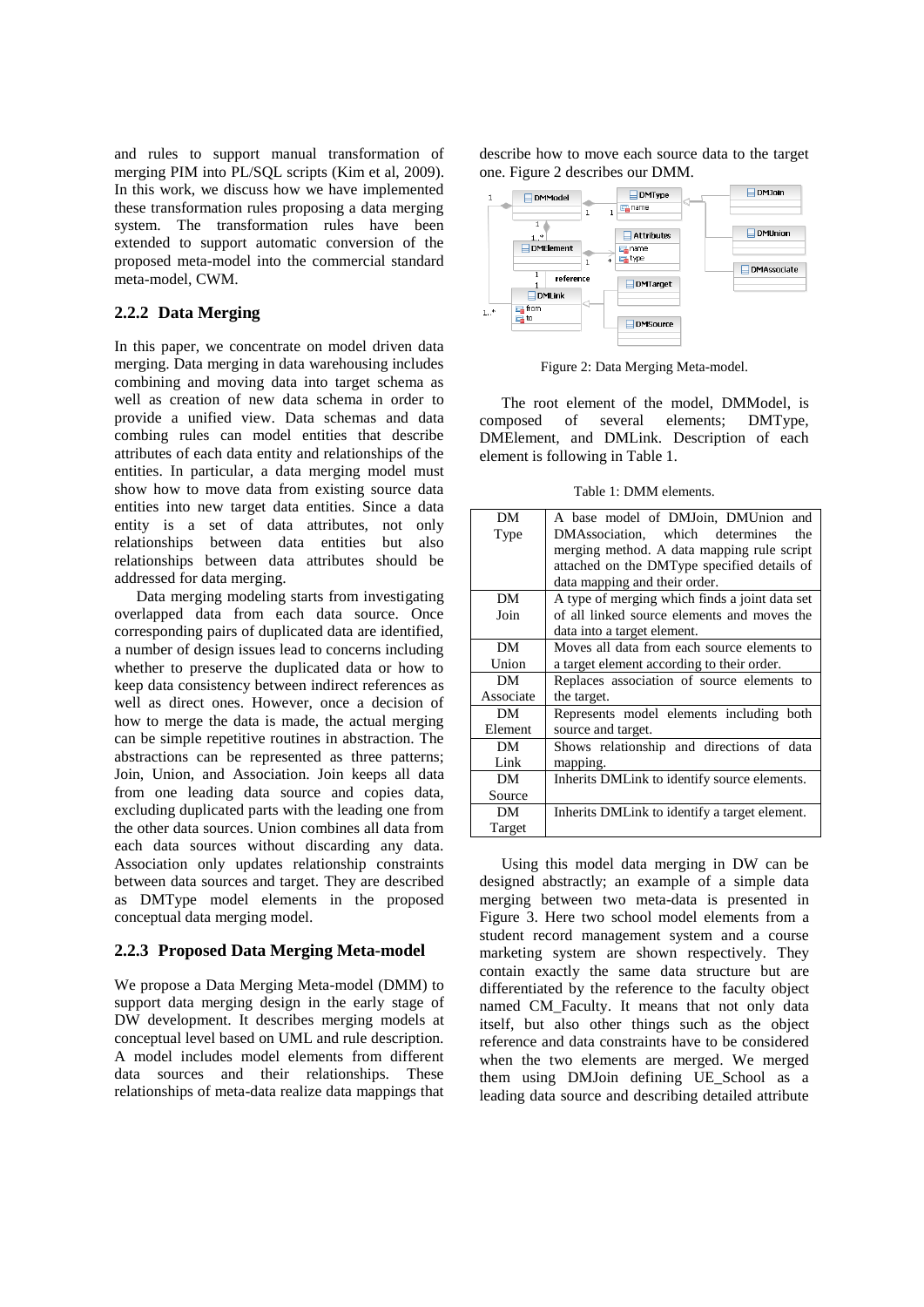and rules to support manual transformation of merging PIM into PL/SQL scripts (Kim et al, 2009). In this work, we discuss how we have implemented these transformation rules proposing a data merging system. The transformation rules have been extended to support automatic conversion of the proposed meta-model into the commercial standard meta-model, CWM.

#### **2.2.2 Data Merging**

In this paper, we concentrate on model driven data merging. Data merging in data warehousing includes combining and moving data into target schema as well as creation of new data schema in order to provide a unified view. Data schemas and data combing rules can model entities that describe attributes of each data entity and relationships of the entities. In particular, a data merging model must show how to move data from existing source data entities into new target data entities. Since a data entity is a set of data attributes, not only relationships between data entities but also relationships between data attributes should be addressed for data merging.

Data merging modeling starts from investigating overlapped data from each data source. Once corresponding pairs of duplicated data are identified, a number of design issues lead to concerns including whether to preserve the duplicated data or how to keep data consistency between indirect references as well as direct ones. However, once a decision of how to merge the data is made, the actual merging can be simple repetitive routines in abstraction. The abstractions can be represented as three patterns; Join, Union, and Association. Join keeps all data from one leading data source and copies data, excluding duplicated parts with the leading one from the other data sources. Union combines all data from each data sources without discarding any data. Association only updates relationship constraints between data sources and target. They are described as DMType model elements in the proposed conceptual data merging model.

#### **2.2.3 Proposed Data Merging Meta-model**

We propose a Data Merging Meta-model (DMM) to support data merging design in the early stage of DW development. It describes merging models at conceptual level based on UML and rule description. A model includes model elements from different data sources and their relationships. These relationships of meta-data realize data mappings that

describe how to move each source data to the target one. Figure 2 describes our DMM.



Figure 2: Data Merging Meta-model.

The root element of the model, DMModel, is composed of several elements; DMType, DMElement, and DMLink. Description of each element is following in Table 1.

Table 1: DMM elements.

| DM        | A base model of DMJoin, DMUnion and            |
|-----------|------------------------------------------------|
| Type      | DMAssociation, which determines<br>the         |
|           | merging method. A data mapping rule script     |
|           | attached on the DMType specified details of    |
|           | data mapping and their order.                  |
| DM        | A type of merging which finds a joint data set |
| Join      | of all linked source elements and moves the    |
|           | data into a target element.                    |
| DM        | Moves all data from each source elements to    |
| Union     | a target element according to their order.     |
| DM        | Replaces association of source elements to     |
| Associate | the target.                                    |
| DM        | Represents model elements including both       |
| Element   | source and target.                             |
| DM        | Shows relationship and directions of data      |
| Link      | mapping.                                       |
| DM        | Inherits DMLink to identify source elements.   |
| Source    |                                                |
| DM        | Inherits DMLink to identify a target element.  |
| Target    |                                                |
|           |                                                |

Using this model data merging in DW can be designed abstractly; an example of a simple data merging between two meta-data is presented in Figure 3. Here two school model elements from a student record management system and a course marketing system are shown respectively. They contain exactly the same data structure but are differentiated by the reference to the faculty object named CM\_Faculty. It means that not only data itself, but also other things such as the object reference and data constraints have to be considered when the two elements are merged. We merged them using DMJoin defining UE\_School as a leading data source and describing detailed attribute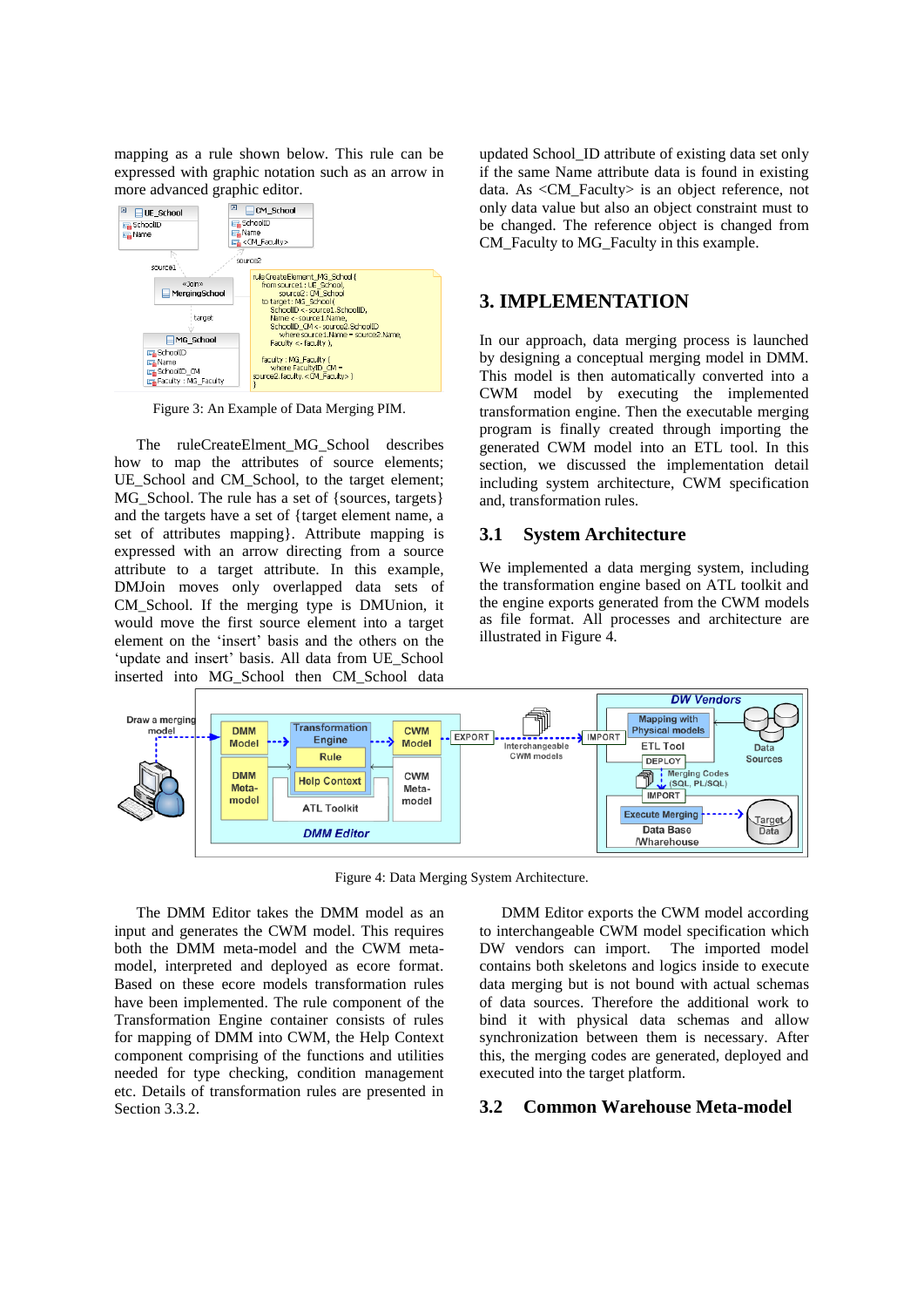mapping as a rule shown below. This rule can be expressed with graphic notation such as an arrow in more advanced graphic editor.



Figure 3: An Example of Data Merging PIM.

The ruleCreateElment MG\_School describes how to map the attributes of source elements; UE\_School and CM\_School, to the target element; MG\_School. The rule has a set of {sources, targets} and the targets have a set of {target element name, a set of attributes mapping}. Attribute mapping is expressed with an arrow directing from a source attribute to a target attribute. In this example, DMJoin moves only overlapped data sets of CM School. If the merging type is DMUnion, it would move the first source element into a target element on the 'insert' basis and the others on the 'update and insert' basis. All data from UE\_School inserted into MG\_School then CM\_School data

updated School\_ID attribute of existing data set only if the same Name attribute data is found in existing data. As <CM\_Faculty> is an object reference, not only data value but also an object constraint must to be changed. The reference object is changed from CM\_Faculty to MG\_Faculty in this example.

## **3. IMPLEMENTATION**

In our approach, data merging process is launched by designing a conceptual merging model in DMM. This model is then automatically converted into a CWM model by executing the implemented transformation engine. Then the executable merging program is finally created through importing the generated CWM model into an ETL tool. In this section, we discussed the implementation detail including system architecture, CWM specification and, transformation rules.

#### **3.1 System Architecture**

We implemented a data merging system, including the transformation engine based on ATL toolkit and the engine exports generated from the CWM models as file format. All processes and architecture are illustrated in Figure 4.



Figure 4: Data Merging System Architecture.

The DMM Editor takes the DMM model as an input and generates the CWM model. This requires both the DMM meta-model and the CWM metamodel, interpreted and deployed as ecore format. Based on these ecore models transformation rules have been implemented. The rule component of the Transformation Engine container consists of rules for mapping of DMM into CWM, the Help Context component comprising of the functions and utilities needed for type checking, condition management etc. Details of transformation rules are presented in Section 3.3.2.

DMM Editor exports the CWM model according to interchangeable CWM model specification which DW vendors can import. The imported model contains both skeletons and logics inside to execute data merging but is not bound with actual schemas of data sources. Therefore the additional work to bind it with physical data schemas and allow synchronization between them is necessary. After this, the merging codes are generated, deployed and executed into the target platform.

#### **3.2 Common Warehouse Meta-model**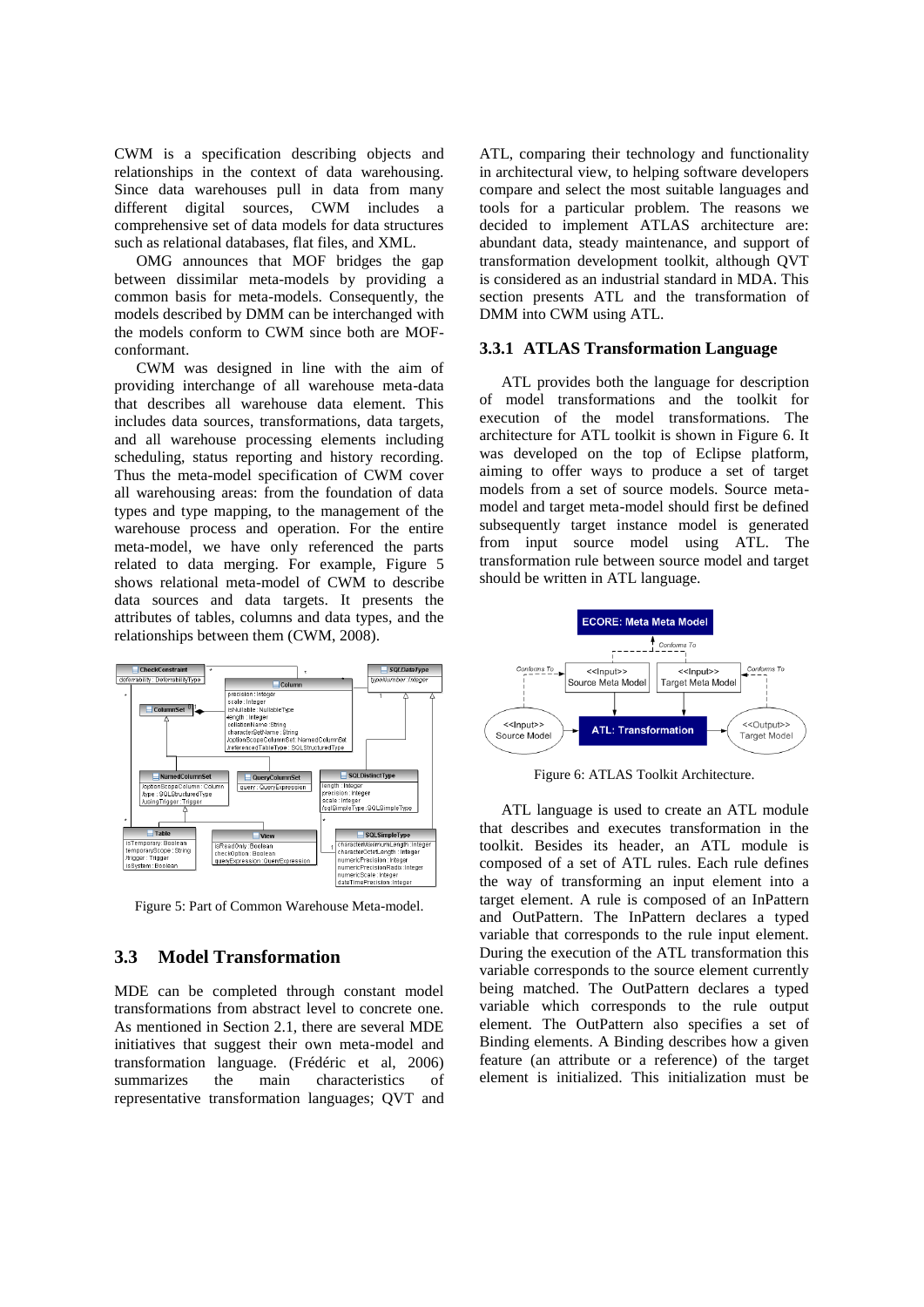CWM is a specification describing objects and relationships in the context of data warehousing. Since data warehouses pull in data from many different digital sources, CWM includes comprehensive set of data models for data structures such as relational databases, flat files, and XML.

OMG announces that MOF bridges the gap between dissimilar meta-models by providing a common basis for meta-models. Consequently, the models described by DMM can be interchanged with the models conform to CWM since both are MOFconformant.

CWM was designed in line with the aim of providing interchange of all warehouse meta-data that describes all warehouse data element. This includes data sources, transformations, data targets, and all warehouse processing elements including scheduling, status reporting and history recording. Thus the meta-model specification of CWM cover all warehousing areas: from the foundation of data types and type mapping, to the management of the warehouse process and operation. For the entire meta-model, we have only referenced the parts related to data merging. For example, Figure 5 shows relational meta-model of CWM to describe data sources and data targets. It presents the attributes of tables, columns and data types, and the relationships between them (CWM, 2008).



Figure 5: Part of Common Warehouse Meta-model.

#### **3.3 Model Transformation**

MDE can be completed through constant model transformations from abstract level to concrete one. As mentioned in Section 2.1, there are several MDE initiatives that suggest their own meta-model and transformation language. (Frédéric et al, 2006) summarizes the main characteristics of representative transformation languages; QVT and

ATL, comparing their technology and functionality in architectural view, to helping software developers compare and select the most suitable languages and tools for a particular problem. The reasons we decided to implement ATLAS architecture are: abundant data, steady maintenance, and support of transformation development toolkit, although QVT is considered as an industrial standard in MDA. This section presents ATL and the transformation of DMM into CWM using ATL.

#### **3.3.1 ATLAS Transformation Language**

ATL provides both the language for description of model transformations and the toolkit for execution of the model transformations. The architecture for ATL toolkit is shown in Figure 6. It was developed on the top of Eclipse platform, aiming to offer ways to produce a set of target models from a set of source models. Source metamodel and target meta-model should first be defined subsequently target instance model is generated from input source model using ATL. The transformation rule between source model and target should be written in ATL language.



Figure 6: ATLAS Toolkit Architecture.

ATL language is used to create an ATL module that describes and executes transformation in the toolkit. Besides its header, an ATL module is composed of a set of ATL rules. Each rule defines the way of transforming an input element into a target element. A rule is composed of an InPattern and OutPattern. The InPattern declares a typed variable that corresponds to the rule input element. During the execution of the ATL transformation this variable corresponds to the source element currently being matched. The OutPattern declares a typed variable which corresponds to the rule output element. The OutPattern also specifies a set of Binding elements. A Binding describes how a given feature (an attribute or a reference) of the target element is initialized. This initialization must be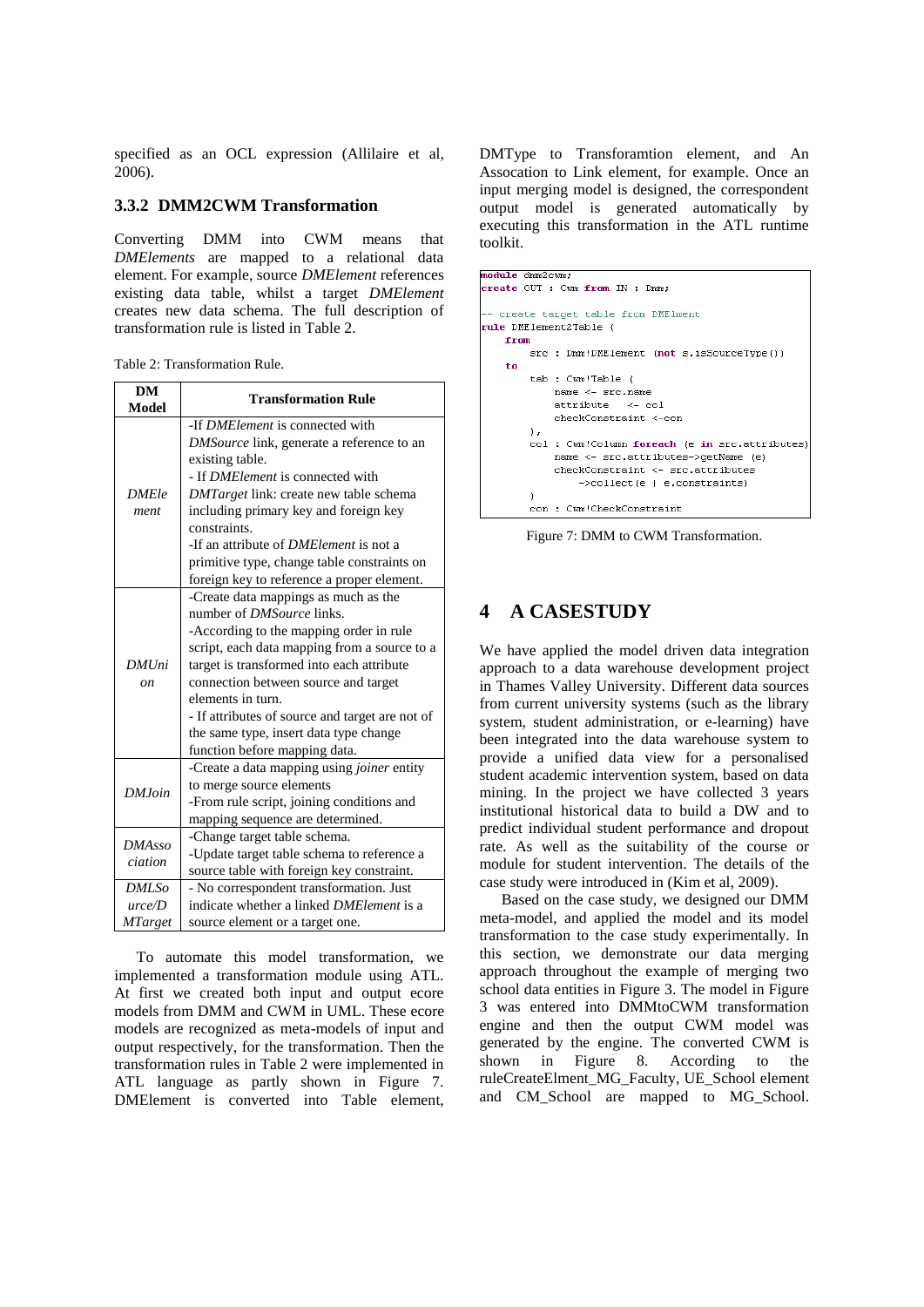specified as an OCL expression (Allilaire et al, 2006).

#### **3.3.2 DMM2CWM Transformation**

Converting DMM into CWM means that *DMElements* are mapped to a relational data element. For example, source *DMElement* references existing data table, whilst a target *DMElement* creates new data schema. The full description of transformation rule is listed in Table 2.

Table 2: Transformation Rule.

| <b>DM</b>         | <b>Transformation Rule</b>                      |
|-------------------|-------------------------------------------------|
| <b>Model</b>      |                                                 |
|                   | -If <i>DMElement</i> is connected with          |
|                   | DMSource link, generate a reference to an       |
|                   | existing table.                                 |
|                   | - If <i>DMElement</i> is connected with         |
| <b>DMEle</b>      | <i>DMTarget</i> link: create new table schema   |
| ment              | including primary key and foreign key           |
|                   | constraints.                                    |
|                   | -If an attribute of <i>DMElement</i> is not a   |
|                   | primitive type, change table constraints on     |
|                   | foreign key to reference a proper element.      |
|                   | -Create data mappings as much as the            |
|                   | number of DMSource links.                       |
|                   | -According to the mapping order in rule         |
|                   | script, each data mapping from a source to a    |
| <b>DMUni</b>      | target is transformed into each attribute       |
| <sub>on</sub>     | connection between source and target            |
|                   | elements in turn.                               |
|                   | - If attributes of source and target are not of |
|                   | the same type, insert data type change          |
|                   | function before mapping data.                   |
|                   | -Create a data mapping using joiner entity      |
| DM.Ioin           | to merge source elements                        |
|                   | -From rule script, joining conditions and       |
|                   | mapping sequence are determined.                |
| DMAsso<br>ciation | -Change target table schema.                    |
|                   | -Update target table schema to reference a      |
|                   | source table with foreign key constraint.       |
| DMLS0             | - No correspondent transformation. Just         |
| urce/D            | indicate whether a linked <i>DMElement</i> is a |
| <b>MTarget</b>    | source element or a target one.                 |

To automate this model transformation, we implemented a transformation module using ATL. At first we created both input and output ecore models from DMM and CWM in UML. These ecore models are recognized as meta-models of input and output respectively, for the transformation. Then the transformation rules in Table 2 were implemented in ATL language as partly shown in Figure 7. DMElement is converted into Table element,

DMType to Transforamtion element, and An Assocation to Link element, for example. Once an input merging model is designed, the correspondent output model is generated automatically by executing this transformation in the ATL runtime toolkit.

```
nodule dmm2cwm;
preate OUT : Cum from IN : Dmm;
 - create target table from DMElment
rule DMElement2Table {
    from
        src : Dmm!DMElement (not s.isSourceType())
        tab : Cwm!Table (
             name < - src.name\text{attribute} \leq -\text{col}\verb|checkConstruct| is \verb|+|+ \verb|con|col : Cwm!Column foreach (e in src.attributes)
             name <- src.attributes->getName (e)
             checkConstruct - src. attributes\rightarrowcollect (e | e.constraints)
        con : Cwm!CheckConstraint
```
Figure 7: DMM to CWM Transformation.

## **4 A CASESTUDY**

We have applied the model driven data integration approach to a data warehouse development project in Thames Valley University. Different data sources from current university systems (such as the library system, student administration, or e-learning) have been integrated into the data warehouse system to provide a unified data view for a personalised student academic intervention system, based on data mining. In the project we have collected 3 years institutional historical data to build a DW and to predict individual student performance and dropout rate. As well as the suitability of the course or module for student intervention. The details of the case study were introduced in (Kim et al, 2009).

Based on the case study, we designed our DMM meta-model, and applied the model and its model transformation to the case study experimentally. In this section, we demonstrate our data merging approach throughout the example of merging two school data entities in Figure 3. The model in Figure 3 was entered into DMMtoCWM transformation engine and then the output CWM model was generated by the engine. The converted CWM is shown in Figure 8. According to the ruleCreateElment\_MG\_Faculty, UE\_School element and CM\_School are mapped to MG\_School.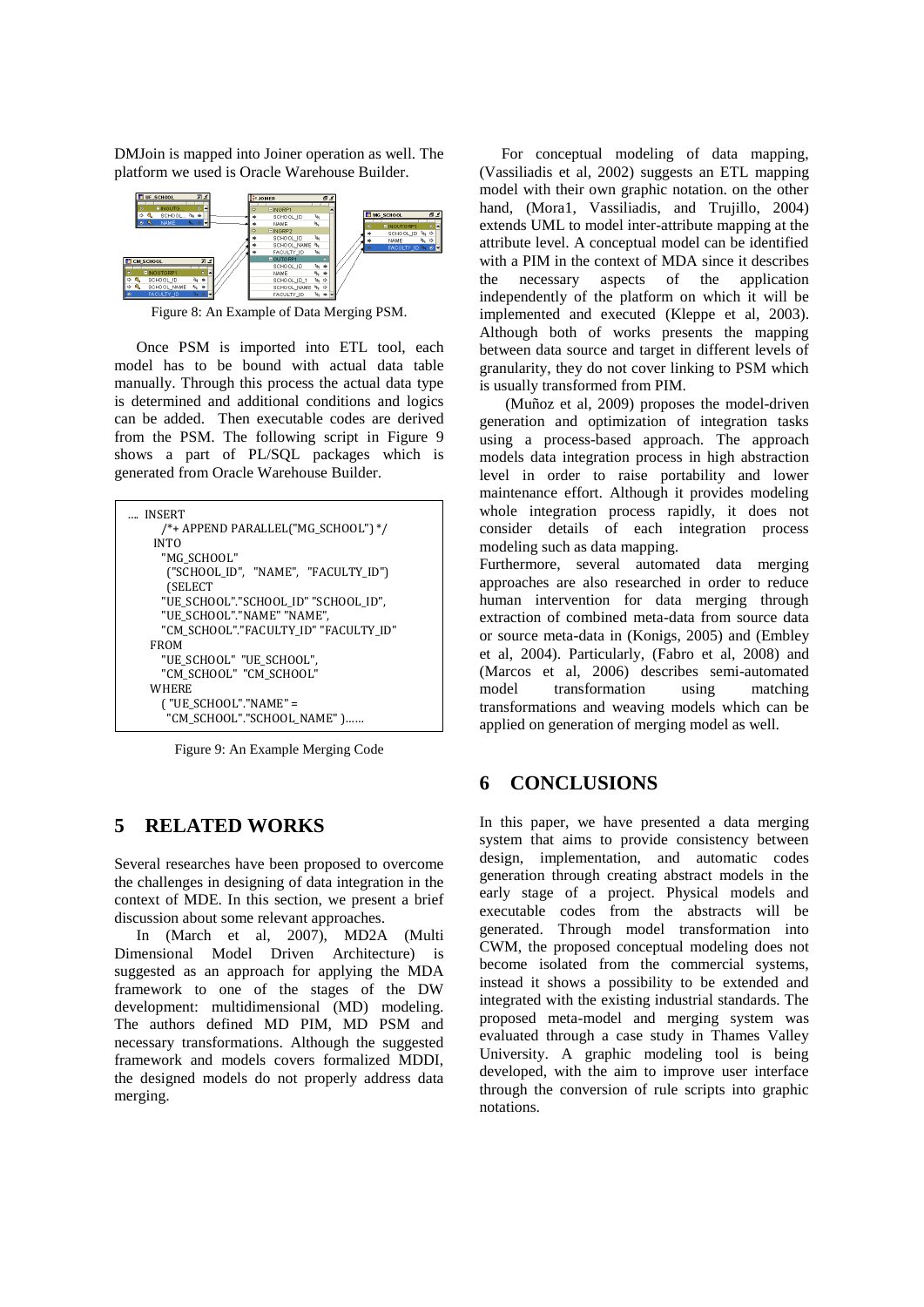DMJoin is mapped into Joiner operation as well. The platform we used is Oracle Warehouse Builder.



Figure 8: An Example of Data Merging PSM.

Once PSM is imported into ETL tool, each model has to be bound with actual data table manually. Through this process the actual data type is determined and additional conditions and logics can be added. Then executable codes are derived from the PSM. The following script in Figure 9 shows a part of PL/SQL packages which is generated from Oracle Warehouse Builder.



Figure 9: An Example Merging Code

## **5 RELATED WORKS**

Several researches have been proposed to overcome the challenges in designing of data integration in the context of MDE. In this section, we present a brief discussion about some relevant approaches.

In (March et al, 2007), MD2A (Multi Dimensional Model Driven Architecture) is suggested as an approach for applying the MDA framework to one of the stages of the DW development: multidimensional (MD) modeling. The authors defined MD PIM, MD PSM and necessary transformations. Although the suggested framework and models covers formalized MDDI, the designed models do not properly address data merging.

For conceptual modeling of data mapping, (Vassiliadis et al, 2002) suggests an ETL mapping model with their own graphic notation. on the other hand, (Mora1, Vassiliadis, and Trujillo, 2004) extends UML to model inter-attribute mapping at the attribute level. A conceptual model can be identified with a PIM in the context of MDA since it describes the necessary aspects of the application independently of the platform on which it will be implemented and executed (Kleppe et al, 2003). Although both of works presents the mapping between data source and target in different levels of granularity, they do not cover linking to PSM which is usually transformed from PIM.

(Muñoz et al, 2009) proposes the model-driven generation and optimization of integration tasks using a process-based approach. The approach models data integration process in high abstraction level in order to raise portability and lower maintenance effort. Although it provides modeling whole integration process rapidly, it does not consider details of each integration process modeling such as data mapping.

Furthermore, several automated data merging approaches are also researched in order to reduce human intervention for data merging through extraction of combined meta-data from source data or source meta-data in (Konigs, 2005) and (Embley et al, 2004). Particularly, (Fabro et al, 2008) and (Marcos et al, 2006) describes semi-automated model transformation using matching transformations and weaving models which can be applied on generation of merging model as well.

### **6 CONCLUSIONS**

In this paper, we have presented a data merging system that aims to provide consistency between design, implementation, and automatic codes generation through creating abstract models in the early stage of a project. Physical models and executable codes from the abstracts will be generated. Through model transformation into CWM, the proposed conceptual modeling does not become isolated from the commercial systems, instead it shows a possibility to be extended and integrated with the existing industrial standards. The proposed meta-model and merging system was evaluated through a case study in Thames Valley University. A graphic modeling tool is being developed, with the aim to improve user interface through the conversion of rule scripts into graphic notations.